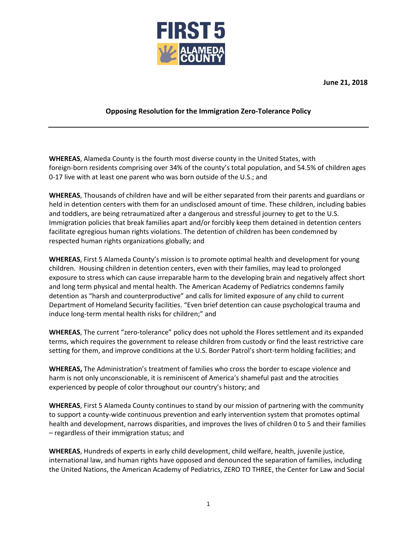

**June 21, 2018**

## **Opposing Resolution for the Immigration Zero-Tolerance Policy**

**WHEREAS**, Alameda County is the fourth most diverse county in the United States, with foreign-born residents comprising over 34% of the county's total population, and 54.5% of children ages 0-17 live with at least one parent who was born outside of the U.S.; and

**WHEREAS**, Thousands of children have and will be either separated from their parents and guardians or held in detention centers with them for an undisclosed amount of time. These children, including babies and toddlers, are being retraumatized after a dangerous and stressful journey to get to the U.S. Immigration policies that break families apart and/or forcibly keep them detained in detention centers facilitate egregious human rights violations. The detention of children has been condemned by respected human rights organizations globally; and

**WHEREAS**, First 5 Alameda County's mission is to promote optimal health and development for young children. Housing children in detention centers, even with their families, may lead to prolonged exposure to stress which can cause irreparable harm to the developing brain and negatively affect short and long term physical and mental health. The American Academy of Pediatrics condemns family detention as "harsh and counterproductive" and calls for limited exposure of any child to current Department of Homeland Security facilities. "Even brief detention can cause psychological trauma and induce long-term mental health risks for children;" and

**WHEREAS**, The current "zero-tolerance" policy does not uphold the Flores settlement and its expanded terms, which requires the government to release children from custody or find the least restrictive care setting for them, and improve conditions at the U.S. Border Patrol's short-term holding facilities; and

**WHEREAS,** The Administration's treatment of families who cross the border to escape violence and harm is not only unconscionable, it is reminiscent of America's shameful past and the atrocities experienced by people of color throughout our country's history; and

**WHEREAS**, First 5 Alameda County continues to stand by our mission of partnering with the community to support a county-wide continuous prevention and early intervention system that promotes optimal health and development, narrows disparities, and improves the lives of children 0 to 5 and their families – regardless of their immigration status; and

**WHEREAS**, Hundreds of experts in early child development, child welfare, health, juvenile justice, international law, and human rights have opposed and denounced the separation of families, including the United Nations, the American Academy of Pediatrics, ZERO TO THREE, the Center for Law and Social